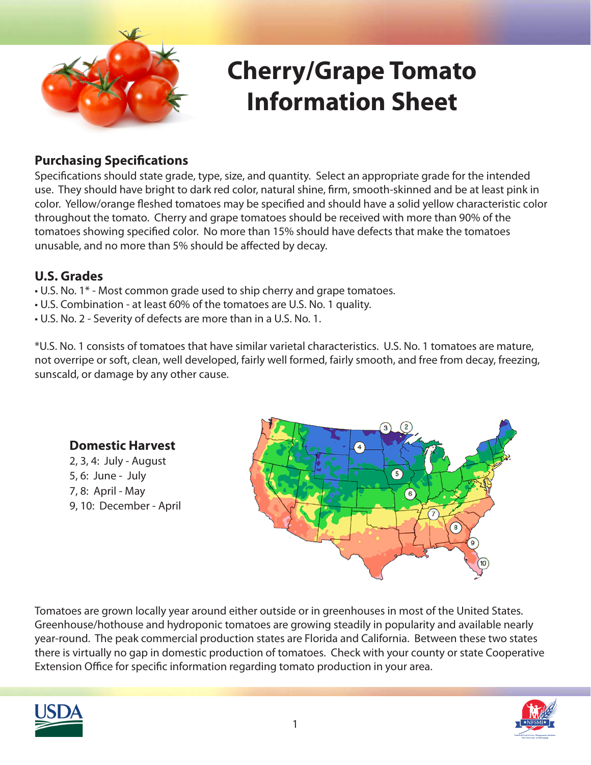

# **Cherry/Grape Tomato Information Sheet**

#### **Purchasing Specifications**

Specifications should state grade, type, size, and quantity. Select an appropriate grade for the intended use. They should have bright to dark red color, natural shine, firm, smooth-skinned and be at least pink in color. Yellow/orange fleshed tomatoes may be specified and should have a solid yellow characteristic color throughout the tomato. Cherry and grape tomatoes should be received with more than 90% of the tomatoes showing specified color. No more than 15% should have defects that make the tomatoes unusable, and no more than 5% should be affected by decay.

#### **U.S. Grades**

- U.S. No. 1\* Most common grade used to ship cherry and grape tomatoes.
- U.S. Combination at least 60% of the tomatoes are U.S. No. 1 quality.
- U.S. No. 2 Severity of defects are more than in a U.S. No. 1.

\*U.S. No. 1 consists of tomatoes that have similar varietal characteristics. U.S. No. 1 tomatoes are mature, not overripe or soft, clean, well developed, fairly well formed, fairly smooth, and free from decay, freezing, sunscald, or damage by any other cause.



Tomatoes are grown locally year around either outside or in greenhouses in most of the United States. Greenhouse/hothouse and hydroponic tomatoes are growing steadily in popularity and available nearly year-round. The peak commercial production states are Florida and California. Between these two states there is virtually no gap in domestic production of tomatoes. Check with your county or state Cooperative Extension Office for specific information regarding tomato production in your area.